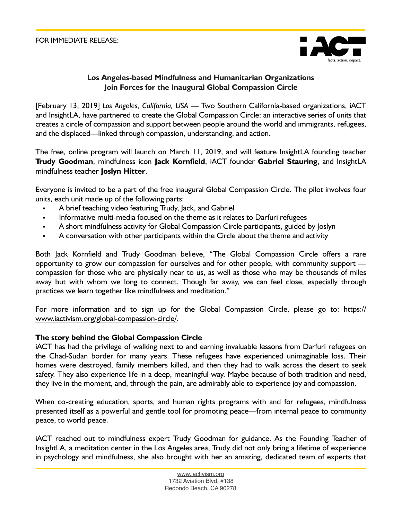

# **Los Angeles-based Mindfulness and Humanitarian Organizations Join Forces for the Inaugural Global Compassion Circle**

[February 13, 2019] *Los Angeles, California, USA* — Two Southern California-based organizations, iACT and InsightLA, have partnered to create the Global Compassion Circle: an interactive series of units that creates a circle of compassion and support between people around the world and immigrants, refugees, and the displaced—linked through compassion, understanding, and action.

The free, online program will launch on March 11, 2019, and will feature InsightLA founding teacher **Trudy Goodman**, mindfulness icon **Jack Kornfield**, iACT founder **Gabriel Stauring**, and InsightLA mindfulness teacher **Joslyn Hitter**.

Everyone is invited to be a part of the free inaugural Global Compassion Circle. The pilot involves four units, each unit made up of the following parts:

- A brief teaching video featuring Trudy, Jack, and Gabriel
- Informative multi-media focused on the theme as it relates to Darfuri refugees
- A short mindfulness activity for Global Compassion Circle participants, guided by Joslyn
- A conversation with other participants within the Circle about the theme and activity

Both Jack Kornfield and Trudy Goodman believe, "The Global Compassion Circle offers a rare opportunity to grow our compassion for ourselves and for other people, with community support compassion for those who are physically near to us, as well as those who may be thousands of miles away but with whom we long to connect. Though far away, we can feel close, especially through practices we learn together like mindfulness and meditation."

For more information and to sign up for the Global Compassion Circle, please go to: [https://](https://www.iactivism.org/global-compassion-circle/) [www.iactivism.org/global-compassion-circle/](https://www.iactivism.org/global-compassion-circle/).

## **The story behind the Global Compassion Circle**

iACT has had the privilege of walking next to and earning invaluable lessons from Darfuri refugees on the Chad-Sudan border for many years. These refugees have experienced unimaginable loss. Their homes were destroyed, family members killed, and then they had to walk across the desert to seek safety. They also experience life in a deep, meaningful way. Maybe because of both tradition and need, they live in the moment, and, through the pain, are admirably able to experience joy and compassion.

When co-creating education, sports, and human rights programs with and for refugees, mindfulness presented itself as a powerful and gentle tool for promoting peace—from internal peace to community peace, to world peace.

iACT reached out to mindfulness expert Trudy Goodman for guidance. As the Founding Teacher of InsightLA, a meditation center in the Los Angeles area, Trudy did not only bring a lifetime of experience in psychology and mindfulness, she also brought with her an amazing, dedicated team of experts that